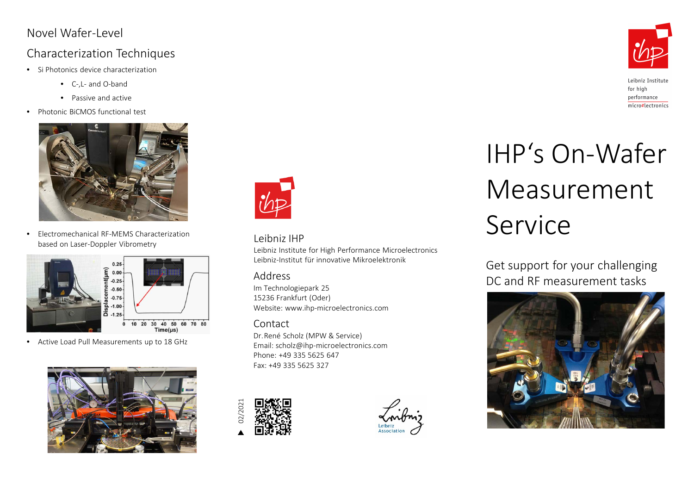# Novel Wafer-Level

# Characterization Techniques

- Si Photonics device characterization
	- $\bullet$  C-J and O-band
	- Passive and active
- Photonic BiCMOS functional test



• Electromechanical RF-MEMS Characterization based on Laser-Doppler Vibrometry



• Active Load Pull Measurements up to 18 GHz





#### Leibniz IHP

Leibniz Institute for High Performance Microelectronics Leibniz-Institut für innovative Mikroelektronik

## Address

Im Technologiepark 25 15236 Frankfurt (Oder) Website: www.ihp-microelectronics.com

## Contact

Dr. René Scholz (MPW & Service) Email: scholz@ihp-microelectronics.com Phone: +49 335 5625 647 Fax: +49 335 5625 327







Leibniz Institute for high performance microelectronics

# IHP's On-Wafer Measurement Service

Get support for your challenging DC and RF measurement tasks